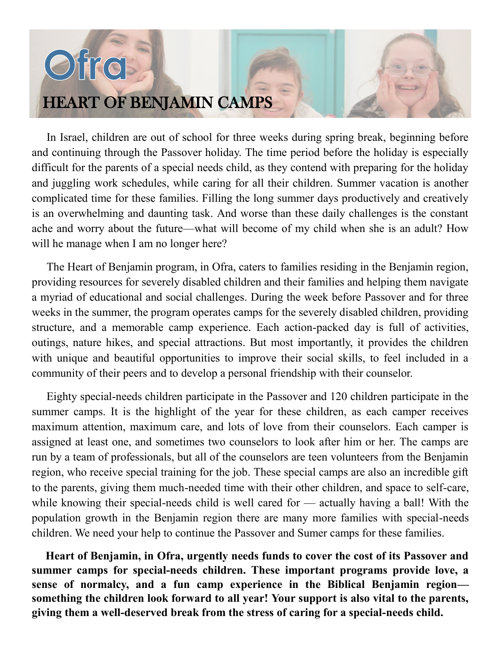## HEART OF BENJAMIN CAMPS

Ofro

In Israel, children are out of school for three weeks during spring break, beginning before and continuing through the Passover holiday. The time period before the holiday is especially difficult for the parents of a special needs child, as they contend with preparing for the holiday and juggling work schedules, while caring for all their children. Summer vacation is another complicated time for these families. Filling the long summer days productively and creatively is an overwhelming and daunting task. And worse than these daily challenges is the constant ache and worry about the future—what will become of my child when she is an adult? How will he manage when I am no longer here?

The Heart of Benjamin program, in Ofra, caters to families residing in the Benjamin region, providing resources for severely disabled children and their families and helping them navigate a myriad of educational and social challenges. During the week before Passover and for three weeks in the summer, the program operates camps for the severely disabled children, providing structure, and a memorable camp experience. Each action-packed day is full of activities, outings, nature hikes, and special attractions. But most importantly, it provides the children with unique and beautiful opportunities to improve their social skills, to feel included in a community of their peers and to develop a personal friendship with their counselor.

Eighty special-needs children participate in the Passover and 120 children participate in the summer camps. It is the highlight of the year for these children, as each camper receives maximum attention, maximum care, and lots of love from their counselors. Each camper is assigned at least one, and sometimes two counselors to look after him or her. The camps are run by a team of professionals, but all of the counselors are teen volunteers from the Benjamin region, who receive special training for the job. These special camps are also an incredible gift to the parents, giving them much-needed time with their other children, and space to self-care, while knowing their special-needs child is well cared for — actually having a ball! With the population growth in the Benjamin region there are many more families with special-needs children. We need your help to continue the Passover and Sumer camps for these families.

**Heart of Benjamin, in Ofra, urgently needs funds to cover the cost of its Passover and summer camps for special-needs children. These important programs provide love, a sense of normalcy, and a fun camp experience in the Biblical Benjamin region something the children look forward to all year! Your support is also vital to the parents, giving them a well-deserved break from the stress of caring for a special-needs child.**